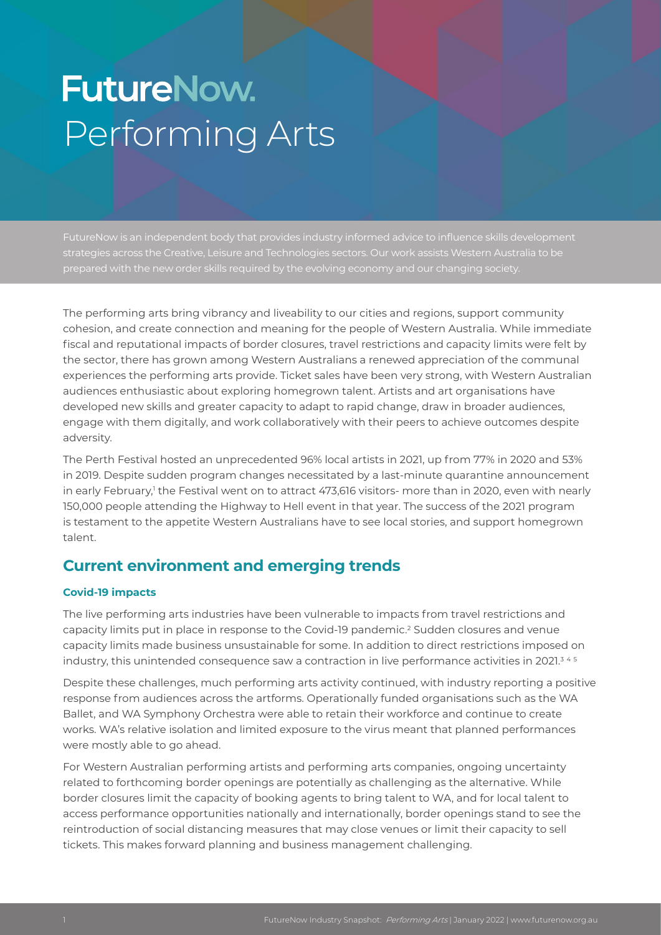# **FutureNow.** Performing Arts

strategies across the Creative, Leisure and Technologies sectors. Our work assists Western Australia to be prepared with the new order skills required by the evolving economy and our changing society.

The performing arts bring vibrancy and liveability to our cities and regions, support community cohesion, and create connection and meaning for the people of Western Australia. While immediate fiscal and reputational impacts of border closures, travel restrictions and capacity limits were felt by the sector, there has grown among Western Australians a renewed appreciation of the communal experiences the performing arts provide. Ticket sales have been very strong, with Western Australian audiences enthusiastic about exploring homegrown talent. Artists and art organisations have developed new skills and greater capacity to adapt to rapid change, draw in broader audiences, engage with them digitally, and work collaboratively with their peers to achieve outcomes despite adversity.

The Perth Festival hosted an unprecedented 96% local artists in 2021, up from 77% in 2020 and 53% in 2019. Despite sudden program changes necessitated by a last-minute quarantine announcement in early February,<sup>1</sup> the Festival went on to attract 473,616 visitors- more than in 2020, even with nearly 150,000 people attending the Highway to Hell event in that year. The success of the 2021 program is testament to the appetite Western Australians have to see local stories, and support homegrown talent.

# **Current environment and emerging trends**

#### **Covid-19 impacts**

The live performing arts industries have been vulnerable to impacts from travel restrictions and capacity limits put in place in response to the Covid-19 pandemic.<sup>2</sup> Sudden closures and venue capacity limits made business unsustainable for some. In addition to direct restrictions imposed on industry, this unintended consequence saw a contraction in live performance activities in 2021.<sup>345</sup>

Despite these challenges, much performing arts activity continued, with industry reporting a positive response from audiences across the artforms. Operationally funded organisations such as the WA Ballet, and WA Symphony Orchestra were able to retain their workforce and continue to create works. WA's relative isolation and limited exposure to the virus meant that planned performances were mostly able to go ahead.

For Western Australian performing artists and performing arts companies, ongoing uncertainty related to forthcoming border openings are potentially as challenging as the alternative. While border closures limit the capacity of booking agents to bring talent to WA, and for local talent to access performance opportunities nationally and internationally, border openings stand to see the reintroduction of social distancing measures that may close venues or limit their capacity to sell tickets. This makes forward planning and business management challenging.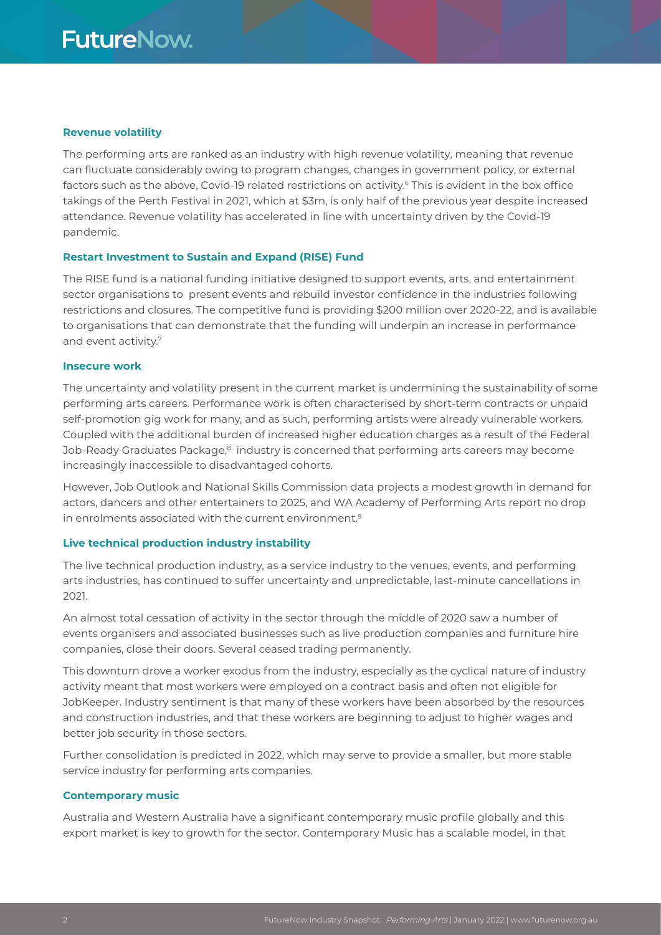#### **Revenue volatility**

The performing arts are ranked as an industry with high revenue volatility, meaning that revenue can fluctuate considerably owing to program changes, changes in government policy, or external factors such as the above, Covid-19 related restrictions on activity.<sup>6</sup> This is evident in the box office takings of the Perth Festival in 2021, which at \$3m, is only half of the previous year despite increased attendance. Revenue volatility has accelerated in line with uncertainty driven by the Covid-19 pandemic.

#### **Restart Investment to Sustain and Expand (RISE) Fund**

The RISE fund is a national funding initiative designed to support events, arts, and entertainment sector organisations to present events and rebuild investor confidence in the industries following restrictions and closures. The competitive fund is providing \$200 million over 2020-22, and is available to organisations that can demonstrate that the funding will underpin an increase in performance and event activity.7

#### **Insecure work**

The uncertainty and volatility present in the current market is undermining the sustainability of some performing arts careers. Performance work is often characterised by short-term contracts or unpaid self-promotion gig work for many, and as such, performing artists were already vulnerable workers. Coupled with the additional burden of increased higher education charges as a result of the Federal Job-Ready Graduates Package,<sup>8</sup> industry is concerned that performing arts careers may become increasingly inaccessible to disadvantaged cohorts.

However, Job Outlook and National Skills Commission data projects a modest growth in demand for actors, dancers and other entertainers to 2025, and WA Academy of Performing Arts report no drop in enrolments associated with the current environment.9

#### **Live technical production industry instability**

The live technical production industry, as a service industry to the venues, events, and performing arts industries, has continued to suffer uncertainty and unpredictable, last-minute cancellations in 2021.

An almost total cessation of activity in the sector through the middle of 2020 saw a number of events organisers and associated businesses such as live production companies and furniture hire companies, close their doors. Several ceased trading permanently.

This downturn drove a worker exodus from the industry, especially as the cyclical nature of industry activity meant that most workers were employed on a contract basis and often not eligible for JobKeeper. Industry sentiment is that many of these workers have been absorbed by the resources and construction industries, and that these workers are beginning to adjust to higher wages and better job security in those sectors.

Further consolidation is predicted in 2022, which may serve to provide a smaller, but more stable service industry for performing arts companies.

#### **Contemporary music**

Australia and Western Australia have a significant contemporary music profile globally and this export market is key to growth for the sector. Contemporary Music has a scalable model, in that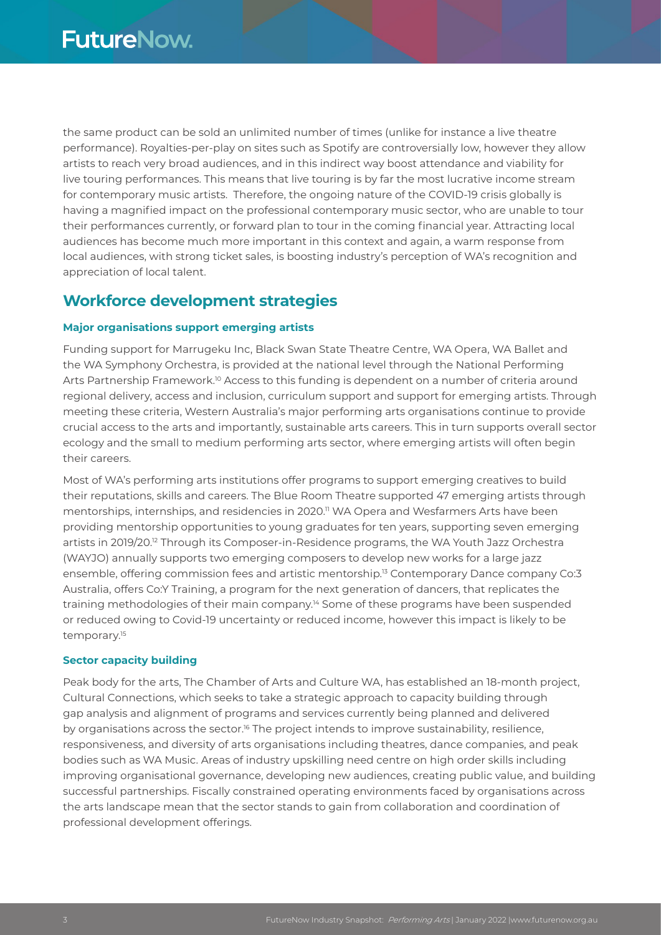the same product can be sold an unlimited number of times (unlike for instance a live theatre performance). Royalties-per-play on sites such as Spotify are controversially low, however they allow artists to reach very broad audiences, and in this indirect way boost attendance and viability for live touring performances. This means that live touring is by far the most lucrative income stream for contemporary music artists. Therefore, the ongoing nature of the COVID-19 crisis globally is having a magnified impact on the professional contemporary music sector, who are unable to tour their performances currently, or forward plan to tour in the coming financial year. Attracting local audiences has become much more important in this context and again, a warm response from local audiences, with strong ticket sales, is boosting industry's perception of WA's recognition and appreciation of local talent.

# **Workforce development strategies**

#### **Major organisations support emerging artists**

Funding support for Marrugeku Inc, Black Swan State Theatre Centre, WA Opera, WA Ballet and the WA Symphony Orchestra, is provided at the national level through the National Performing Arts Partnership Framework.<sup>10</sup> Access to this funding is dependent on a number of criteria around regional delivery, access and inclusion, curriculum support and support for emerging artists. Through meeting these criteria, Western Australia's major performing arts organisations continue to provide crucial access to the arts and importantly, sustainable arts careers. This in turn supports overall sector ecology and the small to medium performing arts sector, where emerging artists will often begin their careers.

Most of WA's performing arts institutions offer programs to support emerging creatives to build their reputations, skills and careers. The Blue Room Theatre supported 47 emerging artists through mentorships, internships, and residencies in 2020.<sup>11</sup> WA Opera and Wesfarmers Arts have been providing mentorship opportunities to young graduates for ten years, supporting seven emerging artists in 2019/20.12 Through its Composer-in-Residence programs, the WA Youth Jazz Orchestra (WAYJO) annually supports two emerging composers to develop new works for a large jazz ensemble, offering commission fees and artistic mentorship.13 Contemporary Dance company Co:3 Australia, offers Co:Y Training, a program for the next generation of dancers, that replicates the training methodologies of their main company.14 Some of these programs have been suspended or reduced owing to Covid-19 uncertainty or reduced income, however this impact is likely to be temporary.<sup>15</sup>

#### **Sector capacity building**

Peak body for the arts, The Chamber of Arts and Culture WA, has established an 18-month project, Cultural Connections, which seeks to take a strategic approach to capacity building through gap analysis and alignment of programs and services currently being planned and delivered by organisations across the sector.<sup>16</sup> The project intends to improve sustainability, resilience, responsiveness, and diversity of arts organisations including theatres, dance companies, and peak bodies such as WA Music. Areas of industry upskilling need centre on high order skills including improving organisational governance, developing new audiences, creating public value, and building successful partnerships. Fiscally constrained operating environments faced by organisations across the arts landscape mean that the sector stands to gain from collaboration and coordination of professional development offerings.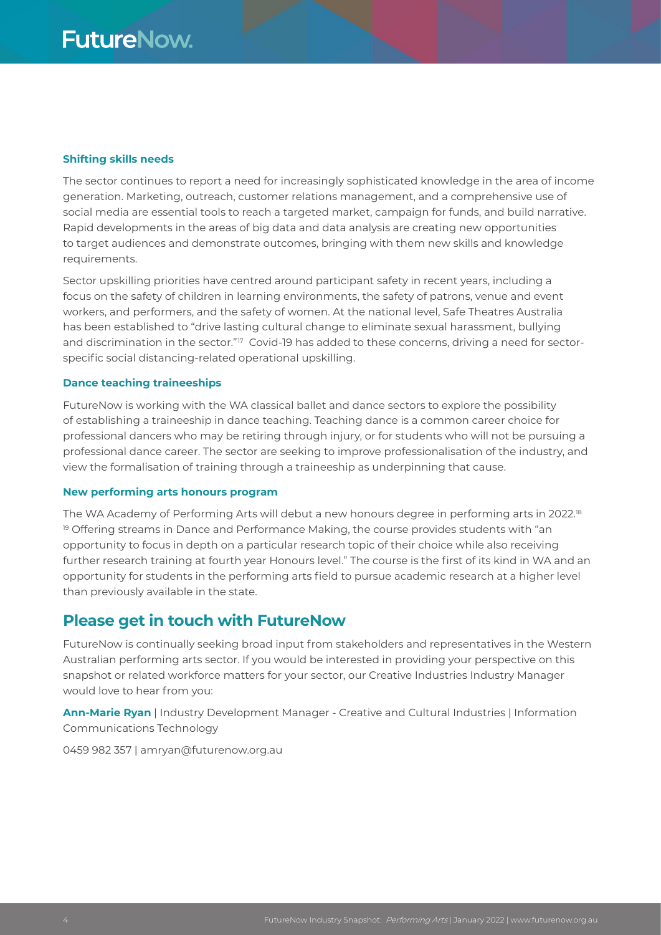#### **Shifting skills needs**

The sector continues to report a need for increasingly sophisticated knowledge in the area of income generation. Marketing, outreach, customer relations management, and a comprehensive use of social media are essential tools to reach a targeted market, campaign for funds, and build narrative. Rapid developments in the areas of big data and data analysis are creating new opportunities to target audiences and demonstrate outcomes, bringing with them new skills and knowledge requirements.

Sector upskilling priorities have centred around participant safety in recent years, including a focus on the safety of children in learning environments, the safety of patrons, venue and event workers, and performers, and the safety of women. At the national level, Safe Theatres Australia has been established to "drive lasting cultural change to eliminate sexual harassment, bullying and discrimination in the sector."<sup>17</sup> Covid-19 has added to these concerns, driving a need for sectorspecific social distancing-related operational upskilling.

#### **Dance teaching traineeships**

FutureNow is working with the WA classical ballet and dance sectors to explore the possibility of establishing a traineeship in dance teaching. Teaching dance is a common career choice for professional dancers who may be retiring through injury, or for students who will not be pursuing a professional dance career. The sector are seeking to improve professionalisation of the industry, and view the formalisation of training through a traineeship as underpinning that cause.

#### **New performing arts honours program**

The WA Academy of Performing Arts will debut a new honours degree in performing arts in 2022.<sup>18</sup>  $19$  Offering streams in Dance and Performance Making, the course provides students with "an opportunity to focus in depth on a particular research topic of their choice while also receiving further research training at fourth year Honours level." The course is the first of its kind in WA and an opportunity for students in the performing arts field to pursue academic research at a higher level than previously available in the state.

#### **Please get in touch with FutureNow**

FutureNow is continually seeking broad input from stakeholders and representatives in the Western Australian performing arts sector. If you would be interested in providing your perspective on this snapshot or related workforce matters for your sector, our Creative Industries Industry Manager would love to hear from you:

**Ann-Marie Ryan** | Industry Development Manager - Creative and Cultural Industries | Information Communications Technology

0459 982 357 | amryan@futurenow.org.au